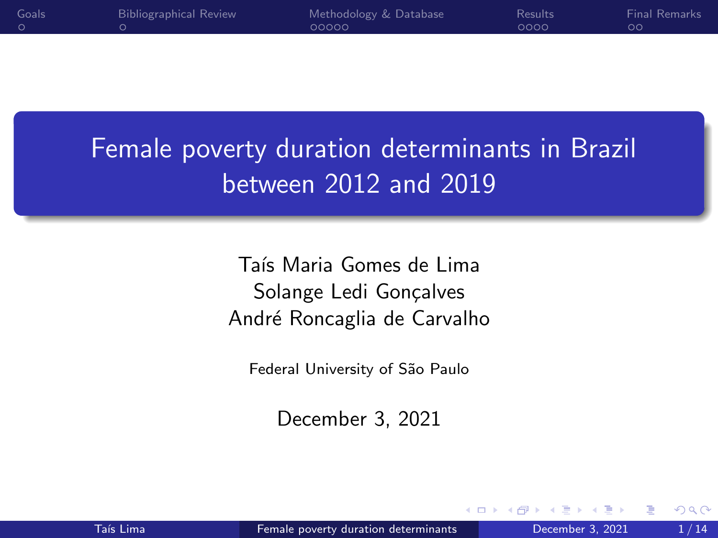<span id="page-0-0"></span>

| Goals | <b>Bibliographical Review</b> | Methodology & Database | <b>Results</b> | Final Remarks |
|-------|-------------------------------|------------------------|----------------|---------------|
|       |                               | 00000                  | 0000           |               |
|       |                               |                        |                |               |

# Female poverty duration determinants in Brazil between 2012 and 2019

Taís Maria Gomes de Lima Solange Ledi Gonçalves André Roncaglia de Carvalho

Federal University of São Paulo

December 3, 2021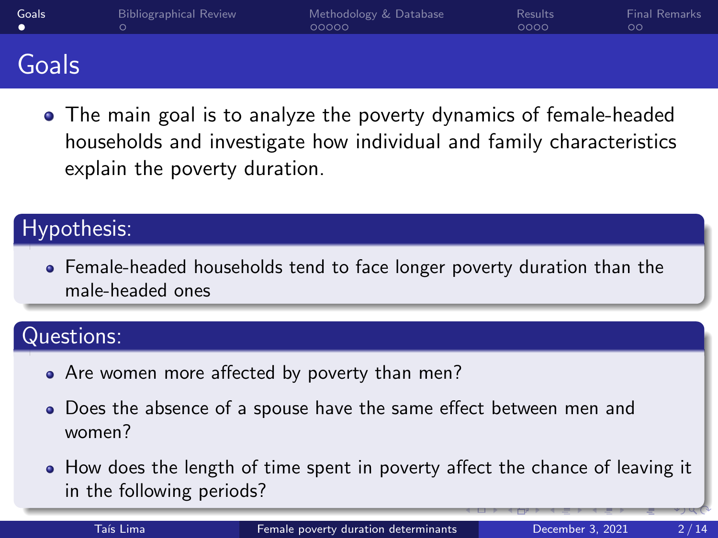<span id="page-1-0"></span>

| Goals | <b>Bibliographical Review</b> | Methodology & Database<br>00000 | <b>Results</b><br>0000 | <b>Final Remarks</b><br>ОC |
|-------|-------------------------------|---------------------------------|------------------------|----------------------------|
| Goals |                               |                                 |                        |                            |

The main goal is to analyze the poverty dynamics of female-headed households and investigate how individual and family characteristics explain the poverty duration.

### Hypothesis:

Female-headed households tend to face longer poverty duration than the male-headed ones

### Questions:

- Are women more affected by poverty than men?
- Does the absence of a spouse have the same effect between men and women?
- How does the length of time spent in poverty affect the chance of leaving it in the following periods?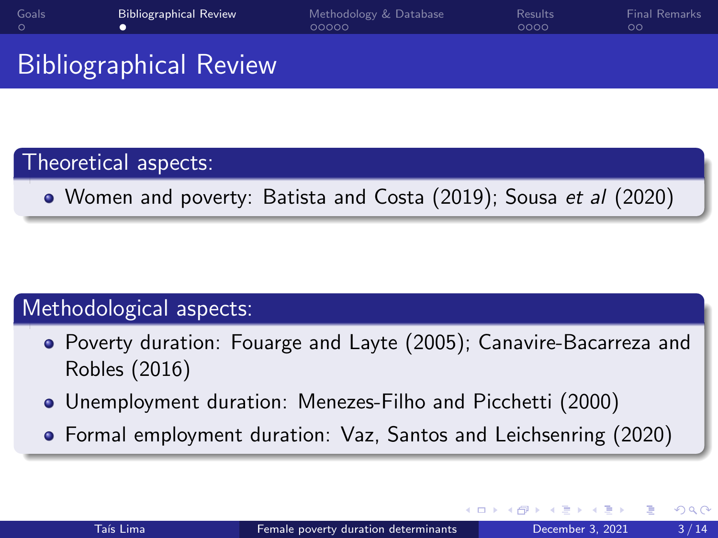<span id="page-2-0"></span>

| Goals | <b>Bibliographical Review</b> | Methodology & Database<br>00000 | <b>Results</b><br>0000 | <b>Final Remarks</b> |
|-------|-------------------------------|---------------------------------|------------------------|----------------------|
|       |                               |                                 |                        |                      |

# Bibliographical Review

### Theoretical aspects:

Women and poverty: Batista and Costa (2019); Sousa et al (2020)

### Methodological aspects:

- Poverty duration: Fouarge and Layte (2005); Canavire-Bacarreza and Robles (2016)
- Unemployment duration: Menezes-Filho and Picchetti (2000)
- Formal employment duration: Vaz, Santos and Leichsenring (2020)

 $\leftarrow$   $\Box$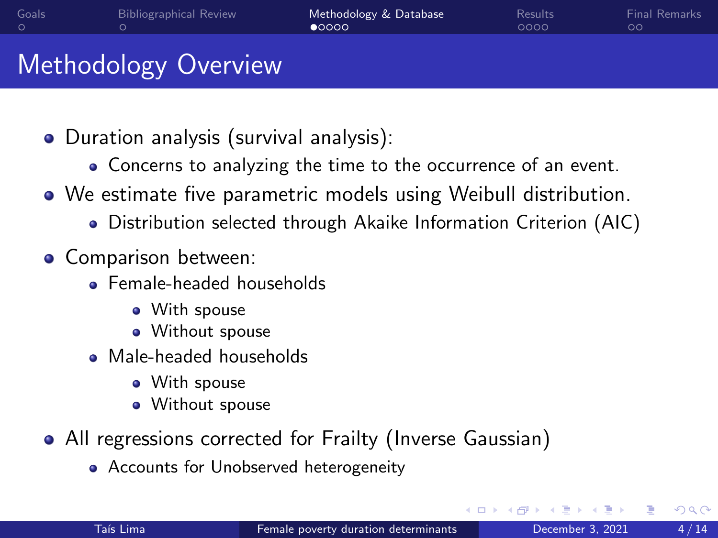<span id="page-3-0"></span>

| Goals | <b>Bibliographical Review</b> | Methodology & Database<br>$\bullet$ 0000 | <b>Results</b><br>0000 | <b>Final Remarks</b><br>00 |
|-------|-------------------------------|------------------------------------------|------------------------|----------------------------|
|       | <b>Methodology Overview</b>   |                                          |                        |                            |

- Duration analysis (survival analysis):
	- Concerns to analyzing the time to the occurrence of an event.
- We estimate five parametric models using Weibull distribution.
	- Distribution selected through Akaike Information Criterion (AIC)
- **o** Comparison between:
	- **Female-headed households** 
		- With spouse
		- **•** Without spouse
	- Male-headed households
		- With spouse
		- Without spouse
- All regressions corrected for Frailty (Inverse Gaussian)
	- Accounts for Unobserved heterogeneity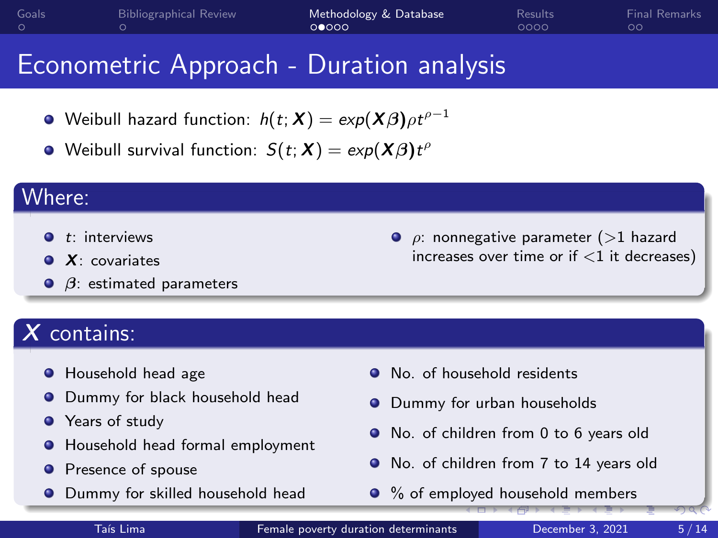<span id="page-4-0"></span>

| Goals | <b>Bibliographical Review</b> | Methodology & Database<br>000000 | Results<br>0000 | <b>Final Remarks</b><br>ററ |
|-------|-------------------------------|----------------------------------|-----------------|----------------------------|
|       |                               |                                  |                 |                            |

### Econometric Approach - Duration analysis

- Weibull hazard function:  $h(t;\bm{X})=exp(\bm{X\beta})\rho t^{\rho-1}$
- Weibull survival function:  $S(t;\boldsymbol{X}) = \textit{exp}(\boldsymbol{X}\boldsymbol{\beta})t^{\rho}$

#### Where:

- $\bullet$  t: interviews
- $\bullet$   $X$  covariates
- $\Theta$   $\beta$ : estimated parameters

# $X$  contains:

- **•** Household head age
- **O** Dummy for black household head
- **•** Years of study
- Household head formal employment
- **•** Presence of spouse
- **O** Dummy for skilled household head

 $\bullet$   $\rho$ : nonnegative parameter (>1 hazard increases over time or if  $<$ 1 it decreases)

- No. of household residents
- $\bullet$ Dummy for urban households
- No. of children from 0 to 6 years old
- No. of children from 7 to 14 years old
- % of emp[loy](#page-3-0)e[d](#page-5-0) [ho](#page-3-0)[us](#page-4-0)[eh](#page-5-0)[o](#page-2-0)[ld](#page-3-0)[m](#page-3-0)[e](#page-2-0)m[b](#page-7-0)[er](#page-8-0)[s](#page-0-0)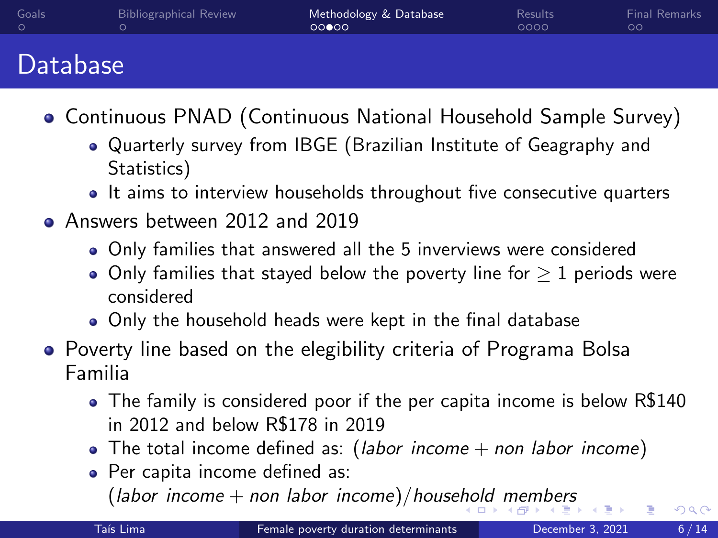<span id="page-5-0"></span>

| Goals | <b>Bibliographical Review</b> | Methodology & Database<br>00000 | <b>Results</b><br>0000 | Final Remarks |
|-------|-------------------------------|---------------------------------|------------------------|---------------|
|       |                               |                                 |                        |               |

## Database

- Continuous PNAD (Continuous National Household Sample Survey)
	- Quarterly survey from IBGE (Brazilian Institute of Geagraphy and Statistics)
	- It aims to interview households throughout five consecutive quarters
- Answers between 2012 and 2019
	- Only families that answered all the 5 inverviews were considered
	- $\bullet$  Only families that stayed below the poverty line for  $> 1$  periods were considered
	- Only the household heads were kept in the final database
- Poverty line based on the elegibility criteria of Programa Bolsa Familia
	- The family is considered poor if the per capita income is below R\$140 in 2012 and below R\$178 in 2019
	- The total income defined as: (*labor income*  $+$  *non labor income*)
	- Per capita income defined as:  $(labor income + non labor income)/household members$  $(labor income + non labor income)/household members$  $(labor income + non labor income)/household members$  $(labor income + non labor income)/household members$  $(labor income + non labor income)/household members$  $(labor income + non labor income)/household members$  $(labor income + non labor income)/household members$  $(labor income + non labor income)/household members$  $(labor income + non labor income)/household members$  $(labor income + non labor income)/household members$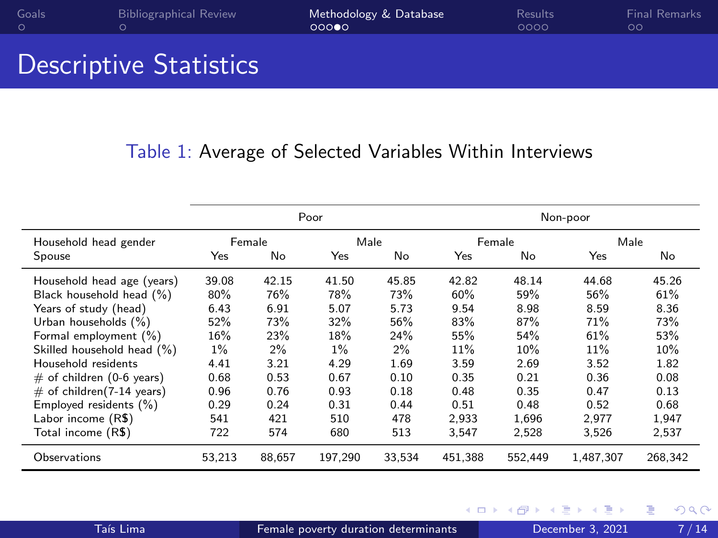<span id="page-6-0"></span>

| Goals | <b>Bibliographical Review</b> | Methodology & Database<br>റററൈ | Results<br>0000 | <b>Final Remarks</b> |
|-------|-------------------------------|--------------------------------|-----------------|----------------------|
|       |                               |                                |                 |                      |

## Descriptive Statistics

#### Table 1: Average of Selected Variables Within Interviews

|                             |        |        | Poor    |        |         |         | Non-poor  |         |
|-----------------------------|--------|--------|---------|--------|---------|---------|-----------|---------|
| Household head gender       |        | Female | Male    |        |         | Female  | Male      |         |
| Spouse                      | Yes    | No     | Yes     | No     | Yes     | No      | Yes       | No      |
| Household head age (years)  | 39.08  | 42.15  | 41.50   | 45.85  | 42.82   | 48.14   | 44.68     | 45.26   |
| Black household head (%)    | 80%    | 76%    | 78%     | 73%    | 60%     | 59%     | 56%       | 61%     |
| Years of study (head)       | 6.43   | 6.91   | 5.07    | 5.73   | 9.54    | 8.98    | 8.59      | 8.36    |
| Urban households (%)        | 52%    | 73%    | 32%     | 56%    | 83%     | 87%     | 71%       | 73%     |
| Formal employment (%)       | 16%    | 23%    | 18%     | 24%    | 55%     | 54%     | 61%       | 53%     |
| Skilled household head (%)  | $1\%$  | $2\%$  | $1\%$   | 2%     | 11%     | 10%     | 11%       | 10%     |
| Household residents         | 4.41   | 3.21   | 4.29    | 1.69   | 3.59    | 2.69    | 3.52      | 1.82    |
| $#$ of children (0-6 years) | 0.68   | 0.53   | 0.67    | 0.10   | 0.35    | 0.21    | 0.36      | 0.08    |
| $#$ of children(7-14 years) | 0.96   | 0.76   | 0.93    | 0.18   | 0.48    | 0.35    | 0.47      | 0.13    |
| Employed residents (%)      | 0.29   | 0.24   | 0.31    | 0.44   | 0.51    | 0.48    | 0.52      | 0.68    |
| Labor income (R\$)          | 541    | 421    | 510     | 478    | 2.933   | 1.696   | 2.977     | 1.947   |
| Total income (R\$)          | 722    | 574    | 680     | 513    | 3.547   | 2.528   | 3.526     | 2,537   |
| Observations                | 53.213 | 88.657 | 197.290 | 33,534 | 451.388 | 552.449 | 1,487,307 | 268.342 |

4 D F

 $299$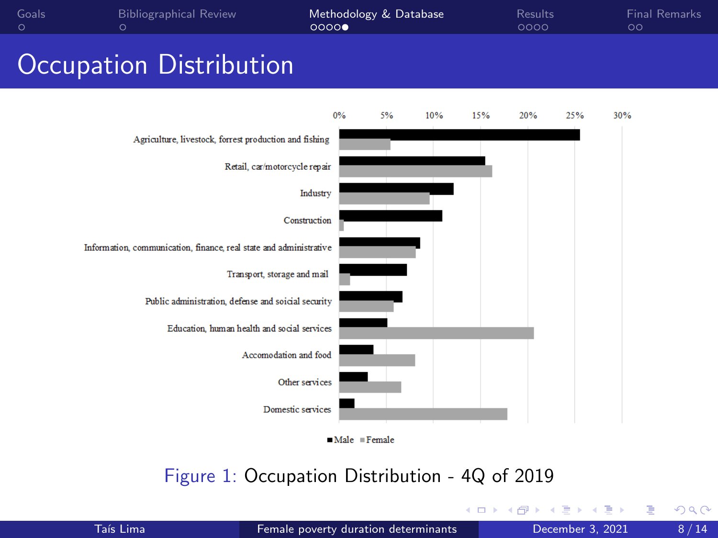<span id="page-7-0"></span>

| Goals | <b>Bibliographical Review</b> | Methodology & Database<br>00000 | Results<br>0000 | Final Remarks<br>ററ |
|-------|-------------------------------|---------------------------------|-----------------|---------------------|
|       |                               |                                 |                 |                     |

## Occupation Distribution





#### Figure 1: Occupation Distribution - 4Q of 2019

4 D F

舌

Þ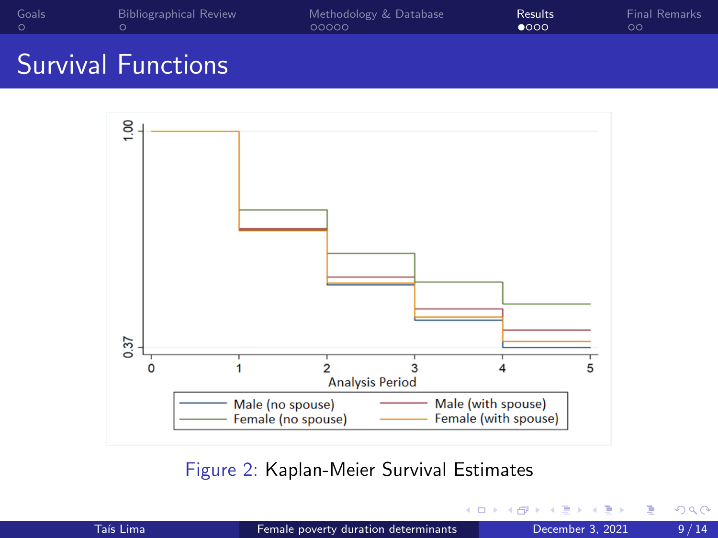<span id="page-8-0"></span>

| Goals | <b>Bibliographical Review</b> | Methodology & Database | <b>Results</b> | <b>Final Remarks</b> |
|-------|-------------------------------|------------------------|----------------|----------------------|
|       |                               | 00000                  | റററ            |                      |

# Survival Functions



Figure 2: Kaplan-Meier Survival Estimates

€⊡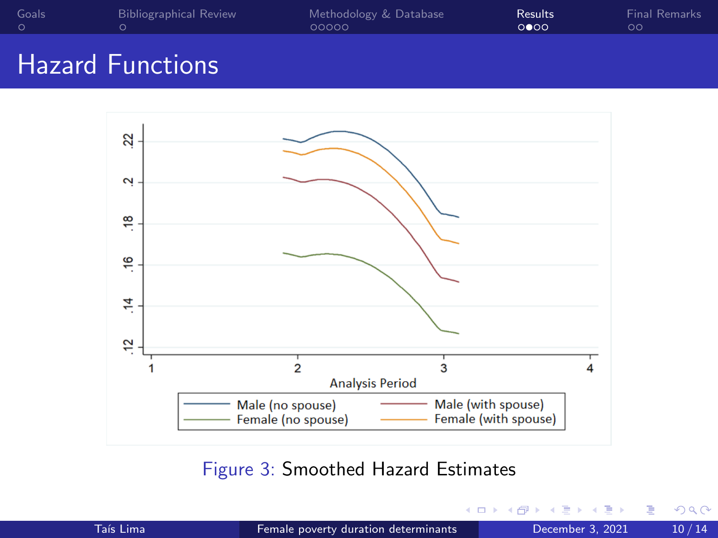| 00000<br>0000 | <b>Final Remarks</b> |
|---------------|----------------------|
|               |                      |

# Hazard Functions



#### Figure 3: Smoothed Hazard Estimates

| Taís Lima |  |  |
|-----------|--|--|
|           |  |  |

4 D F

Þ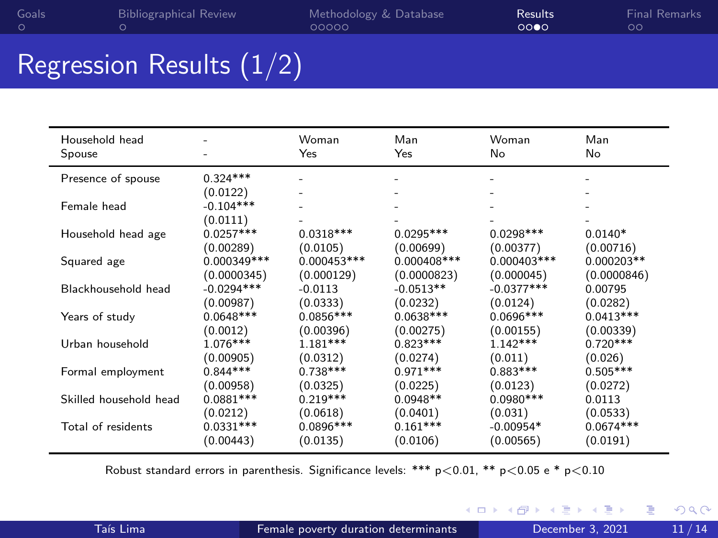| Goals | <b>Bibliographical Review</b> | Methodology & Database | Results <sup>1</sup> | Final Remarks |
|-------|-------------------------------|------------------------|----------------------|---------------|
|       |                               | 00000                  | 0000                 | $\circ \circ$ |

# Regression Results (1/2)

| Household head<br>Spouse |              | Woman<br>Yes  | Man<br>Yes  | Woman<br>No   | Man<br>No    |
|--------------------------|--------------|---------------|-------------|---------------|--------------|
|                          |              |               |             |               |              |
| Presence of spouse       | $0.324***$   |               |             |               |              |
|                          | (0.0122)     |               |             |               |              |
| Female head              | $-0.104***$  |               |             |               |              |
|                          | (0.0111)     |               |             |               |              |
| Household head age       | $0.0257***$  | $0.0318***$   | $0.0295***$ | $0.0298***$   | $0.0140*$    |
|                          | (0.00289)    | (0.0105)      | (0.00699)   |               | (0.00716)    |
|                          |              |               |             | (0.00377)     |              |
| Squared age              | 0.000349 *** | $0.000453***$ | 0.000408*** | $0.000403***$ | $0.000203**$ |
|                          | (0.0000345)  | (0.000129)    | (0.0000823) | (0.000045)    | (0.0000846)  |
| Blackhousehold head      | $-0.0294***$ | $-0.0113$     | $-0.0513**$ | $-0.0377***$  | 0.00795      |
|                          | (0.00987)    | (0.0333)      | (0.0232)    | (0.0124)      | (0.0282)     |
| Years of study           | $0.0648***$  | $0.0856***$   | $0.0638***$ | $0.0696***$   | $0.0413***$  |
|                          | (0.0012)     | (0.00396)     | (0.00275)   | (0.00155)     | (0.00339)    |
| Urban household          | 1.076***     | $1.181***$    | $0.823***$  | $1.142***$    | $0.720***$   |
|                          | (0.00905)    | (0.0312)      | (0.0274)    | (0.011)       | (0.026)      |
| Formal employment        | $0.844***$   | $0.738***$    | $0.971***$  | $0.883***$    | $0.505***$   |
|                          |              |               |             |               |              |
|                          | (0.00958)    | (0.0325)      | (0.0225)    | (0.0123)      | (0.0272)     |
| Skilled household head   | $0.0881***$  | $0.219***$    | $0.0948**$  | $0.0980***$   | 0.0113       |
|                          | (0.0212)     | (0.0618)      | (0.0401)    | (0.031)       | (0.0533)     |
| Total of residents       | $0.0331***$  | $0.0896***$   | $0.161***$  | $-0.00954*$   | $0.0674***$  |
|                          | (0.00443)    | (0.0135)      | (0.0106)    | (0.00565)     | (0.0191)     |

Robust standard errors in parenthesis. Significance levels: \*\*\*  $p < 0.01$ , \*\*  $p < 0.05$  e \*  $p < 0.10$ 

٠

4 D F

重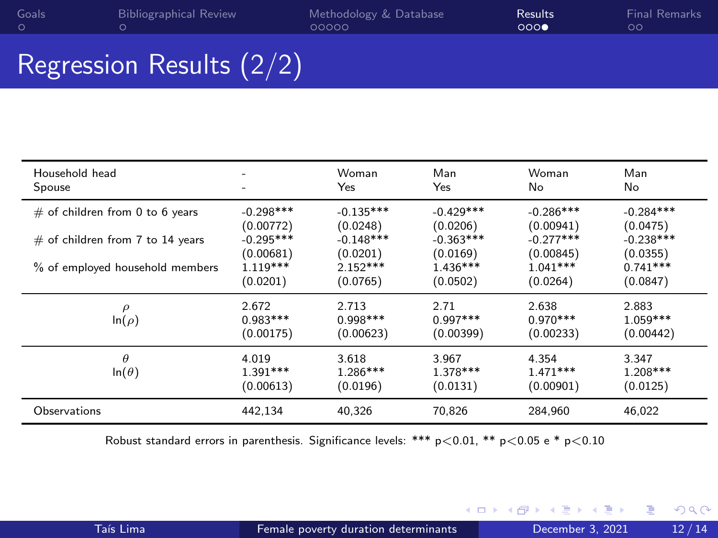# Regression Results (2/2)

| Household head                     | -                                | Woman                            | Man                             | Woman                            | Man                              |
|------------------------------------|----------------------------------|----------------------------------|---------------------------------|----------------------------------|----------------------------------|
| Spouse                             |                                  | Yes                              | Yes                             | No                               | No                               |
| $\#$ of children from 0 to 6 years | $-0.298***$                      | $-0.135***$                      | $-0.429***$                     | $-0.286***$                      | $-0.284***$                      |
|                                    | (0.00772)                        | (0.0248)                         | (0.0206)                        | (0.00941)                        | (0.0475)                         |
| $#$ of children from 7 to 14 years | $-0.295***$                      | $-0.148***$                      | $-0.363***$                     | $-0.277***$                      | $-0.238***$                      |
|                                    | (0.00681)                        | (0.0201)                         | (0.0169)                        | (0.00845)                        | (0.0355)                         |
| % of employed household members    | $1.119***$                       | $2.152***$                       | $1.436***$                      | $1.041***$                       | $0.741***$                       |
|                                    | (0.0201)                         | (0.0765)                         | (0.0502)                        | (0.0264)                         | (0.0847)                         |
| $\rho$<br>$\ln(\rho)$              | 2.672<br>$0.983***$<br>(0.00175) | 2.713<br>$0.998***$<br>(0.00623) | 2.71<br>$0.997***$<br>(0.00399) | 2.638<br>$0.970***$<br>(0.00233) | 2.883<br>$1.059***$<br>(0.00442) |
| $\theta$<br>$ln(\theta)$           | 4.019<br>$1.391***$<br>(0.00613) | 3.618<br>$1.286***$<br>(0.0196)  | 3.967<br>$1.378***$<br>(0.0131) | 4.354<br>$1.471***$<br>(0.00901) | 3.347<br>$1.208***$<br>(0.0125)  |
| Observations                       | 442,134                          | 40,326                           | 70,826                          | 284,960                          | 46,022                           |

Robust standard errors in parenthesis. Significance levels: \*\*\*  $p < 0.01$ , \*\*  $p < 0.05$  e \*  $p < 0.10$ 

э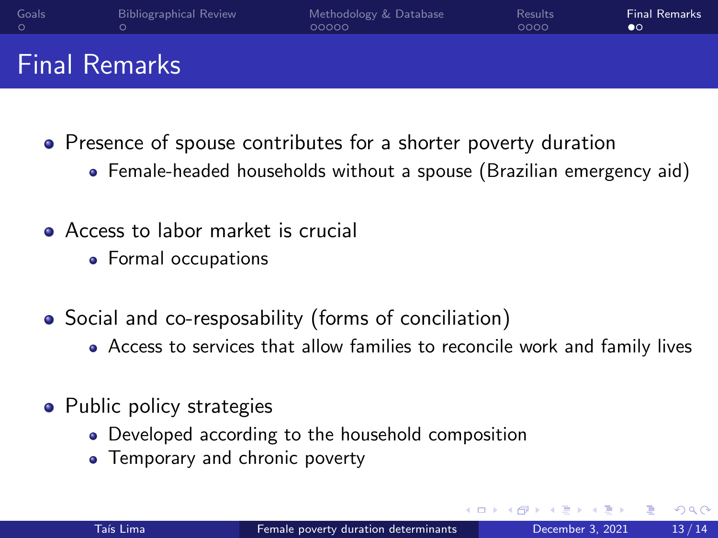<span id="page-12-0"></span>

| Goals                | <b>Bibliographical Review</b> | Methodology & Database | <b>Results</b> | <b>Final Remarks</b> |
|----------------------|-------------------------------|------------------------|----------------|----------------------|
|                      | ∩                             | 00000                  | 0000           | $\bullet$            |
| <b>Final Remarks</b> |                               |                        |                |                      |

- Presence of spouse contributes for a shorter poverty duration
	- Female-headed households without a spouse (Brazilian emergency aid)
- Access to labor market is crucial
	- Formal occupations
- Social and co-resposability (forms of conciliation)
	- Access to services that allow families to reconcile work and family lives
- Public policy strategies
	- Developed according to the household composition
	- Temporary and chronic poverty